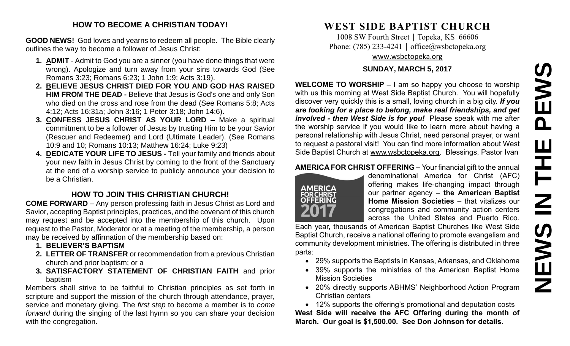#### **HOW TO BECOME A CHRISTIAN TODAY!**

**GOOD NEWS!** God loves and yearns to redeem all people. The Bible clearly outlines the way to become a follower of Jesus Christ:

- **1. ADMIT** Admit to God you are a sinner (you have done things that were wrong). Apologize and turn away from your sins towards God (See Romans 3:23; Romans 6:23; 1 John 1:9; Acts 3:19).
- **2. BELIEVE JESUS CHRIST DIED FOR YOU AND GOD HAS RAISED HIM FROM THE DEAD -** Believe that Jesus is God's one and only Son who died on the cross and rose from the dead (See Romans 5:8; Acts 4:12; Acts 16:31a; John 3:16; 1 Peter 3:18; John 14:6).
- **3. CONFESS JESUS CHRIST AS YOUR LORD –** Make a spiritual commitment to be a follower of Jesus by trusting Him to be your Savior (Rescuer and Redeemer) and Lord (Ultimate Leader). (See Romans 10:9 and 10; Romans 10:13; Matthew 16:24; Luke 9:23)
- **4. DEDICATE YOUR LIFE TO JESUS -** Tell your family and friends about your new faith in Jesus Christ by coming to the front of the Sanctuary at the end of a worship service to publicly announce your decision to be a Christian.

# **HOW TO JOIN THIS CHRISTIAN CHURCH!**

**COME FORWARD** – Any person professing faith in Jesus Christ as Lord and Savior, accepting Baptist principles, practices, and the covenant of this church may request and be accepted into the membership of this church. Upon request to the Pastor, Moderator or at a meeting of the membership, a person may be received by affirmation of the membership based on:

- **1. BELIEVER'S BAPTISM**
- **2. LETTER OF TRANSFER** or recommendation from a previous Christian church and prior baptism; or a
- **3. SATISFACTORY STATEMENT OF CHRISTIAN FAITH** and prior baptism

Members shall strive to be faithful to Christian principles as set forth in scripture and support the mission of the church through attendance, prayer, service and monetary giving. The *first step* to become a member is to *come forward* during the singing of the last hymn so you can share your decision with the congregation.

# **WEST SIDE BAPTIST CHURCH**

1008 SW Fourth Street | Topeka, KS 66606 Phone: (785) 233-4241 │ [office@wsbctopeka.org](mailto:office@wsbctopeka.org) [www.wsbctopeka.org](http://www.wsbctopeka.org/)

#### **SUNDAY, MARCH 5, 2017**

**WELCOME TO WORSHIP –** I am so happy you choose to worship with us this morning at West Side Baptist Church. You will hopefully discover very quickly this is a small, loving church in a big city. *If you are looking for a place to belong, make real friendships, and get involved - then West Side is for you!* Please speak with me after the worship service if you would like to learn more about having a personal relationship with Jesus Christ, need personal prayer, or want to request a pastoral visit! You can find more information about West Side Baptist Church at [www.wsbctopeka.org.](http://www.wsbctopeka.org/) Blessings, Pastor Ivan

### **AMERICA FOR CHRIST OFFERING –** Your financial gift to the annual



denominational America for Christ (AFC) offering makes life-changing impact through our partner agency – **the American Baptist Home Mission Societies** – that vitalizes our congregations and community action centers across the United States and Puerto Rico.

Each year, thousands of American Baptist Churches like West Side Baptist Church, receive a national offering to promote evangelism and community development ministries. The offering is distributed in three parts:

- 29% supports the Baptists in Kansas, Arkansas, and Oklahoma
- 39% supports the ministries of the American Baptist Home Mission Societies
- 20% directly supports ABHMS' Neighborhood Action Program Christian centers

 12% supports the offering's promotional and deputation costs **West Side will receive the AFC Offering during the month of March. Our goal is \$1,500.00. See Don Johnson for details.**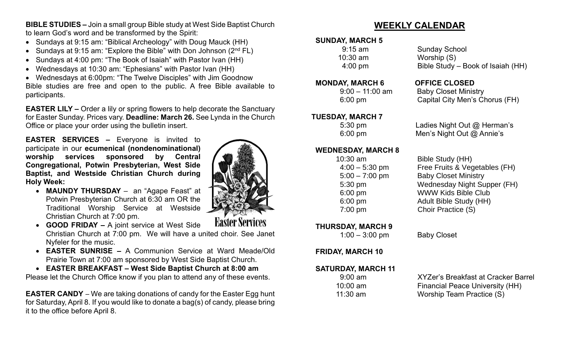**BIBLE STUDIES –** Join a small group Bible study at West Side Baptist Church to learn God's word and be transformed by the Spirit:

- Sundays at 9:15 am: "Biblical Archeology" with Doug Mauck (HH)
- Sundays at 9:15 am: "Explore the Bible" with Don Johnson  $(2^{nd} FL)$
- Sundays at 4:00 pm: "The Book of Isaiah" with Pastor Ivan (HH)
- Wednesdays at 10:30 am: "Ephesians" with Pastor Ivan (HH)

 Wednesdays at 6:00pm: "The Twelve Disciples" with Jim Goodnow Bible studies are free and open to the public. A free Bible available to participants.

**EASTER LILY –** Order a lily or spring flowers to help decorate the Sanctuary for Easter Sunday. Prices vary. **Deadline: March 26.** See Lynda in the Church Office or place your order using the bulletin insert.

**EASTER SERVICES –** Everyone is invited to participate in our **ecumenical (nondenominational) worship services sponsored by Central Congregational, Potwin Presbyterian, West Side Baptist, and Westside Christian Church during Holy Week:**

 **MAUNDY THURSDAY** – an "Agape Feast" at Potwin Presbyterian Church at 6:30 am OR the Traditional Worship Service at Westside Christian Church at 7:00 pm.



**Easter Services** 

- **GOOD FRIDAY –** A joint service at West Side Christian Church at 7:00 pm. We will have a united choir. See Janet Nyfeler for the music.
- **EASTER SUNRISE –** A Communion Service at Ward Meade/Old Prairie Town at 7:00 am sponsored by West Side Baptist Church.
- **EASTER BREAKFAST – West Side Baptist Church at 8:00 am**

Please let the Church Office know if you plan to attend any of these events.

**EASTER CANDY** – We are taking donations of candy for the Easter Egg hunt for Saturday, April 8. If you would like to donate a bag(s) of candy, please bring it to the office before April 8.

# **WEEKLY CALENDAR**

# **SUNDAY, MARCH 5**

10:30 am Worship (S)

### **MONDAY, MARCH 6 OFFICE CLOSED**

## **TUESDAY, MARCH 7**

#### **WEDNESDAY, MARCH 8**

**THURSDAY, MARCH 9** 

1:00 – 3:00 pm Baby Closet

**FRIDAY, MARCH 10**

**SATURDAY, MARCH 11**

| 9:00 am    |  |
|------------|--|
| $10:00$ am |  |
| 11:30 am   |  |

9:15 am Sunday School 4:00 pm Bible Study – Book of Isaiah (HH)

 9:00 – 11:00 am Baby Closet Ministry 6:00 pm Capital City Men's Chorus (FH)

 5:30 pm Ladies Night Out @ Herman's 6:00 pm Men's Night Out @ Annie's

 10:30 am Bible Study (HH) 4:00 – 5:30 pm Free Fruits & Vegetables (FH) 5:00 – 7:00 pm Baby Closet Ministry 5:30 pm Wednesday Night Supper (FH) 6:00 pm WWW Kids Bible Club 6:00 pm Adult Bible Study (HH) 7:00 pm Choir Practice (S)

**XYZer's Breakfast at Cracker Barrel** Financial Peace University (HH) Worship Team Practice (S)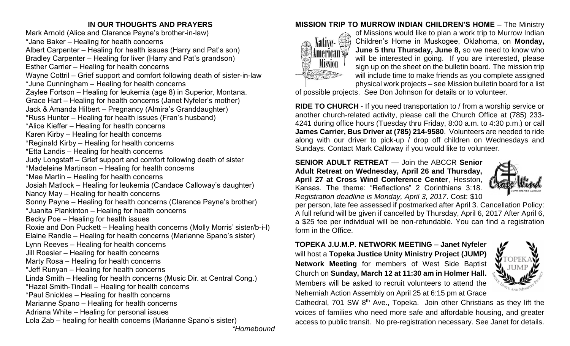## **IN OUR THOUGHTS AND PRAYERS**

Mark Arnold (Alice and Clarence Payne's brother-in-law) \*Jane Baker – Healing for health concerns Albert Carpenter – Healing for health issues (Harry and Pat's son) Bradley Carpenter – Healing for liver (Harry and Pat's grandson) Esther Carrier – Healing for health concerns Wayne Cottril – Grief support and comfort following death of sister-in-law \*June Cunningham – Healing for health concerns Zaylee Fortson – Healing for leukemia (age 8) in Superior, Montana. Grace Hart – Healing for health concerns (Janet Nyfeler's mother) Jack & Amanda Hilbert – Pregnancy (Almira's Granddaughter) \*Russ Hunter – Healing for health issues (Fran's husband) \*Alice Kieffer – Healing for health concerns Karen Kirby – Healing for health concerns \*Reginald Kirby – Healing for health concerns \*Etta Landis – Healing for health concerns Judy Longstaff – Grief support and comfort following death of sister \*Madeleine Martinson – Healing for health concerns \*Mae Martin – Healing for health concerns Josiah Matlock – Healing for leukemia (Candace Calloway's daughter) Nancy May – Healing for health concerns Sonny Payne – Healing for health concerns (Clarence Payne's brother) \*Juanita Plankinton – Healing for health concerns Becky Poe – Healing for health issues Roxie and Don Puckett – Healing health concerns (Molly Morris' sister/b-i-l) Elaine Randle – Healing for health concerns (Marianne Spano's sister) Lynn Reeves – Healing for health concerns Jill Roesler – Healing for health concerns Marty Rosa – Healing for health concerns \*Jeff Runyan – Healing for health concerns Linda Smith – Healing for health concerns (Music Dir. at Central Cong.) \*Hazel Smith-Tindall – Healing for health concerns \*Paul Snickles – Healing for health concerns Marianne Spano – Healing for health concerns Adriana White – Healing for personal issues Lola Zab – healing for health concerns (Marianne Spano's sister)

*\*Homebound*

# **MISSION TRIP TO MURROW INDIAN CHILDREN'S HOME –** The Ministry



of Missions would like to plan a work trip to Murrow Indian Children's Home in Muskogee, Oklahoma, on **Monday, June 5 thru Thursday, June 8,** so we need to know who will be interested in going. If you are interested, please sign up on the sheet on the bulletin board. The mission trip will include time to make friends as you complete assigned physical work projects – see Mission bulletin board for a list

of possible projects. See Don Johnson for details or to volunteer.

**RIDE TO CHURCH** - If you need transportation to / from a worship service or another church-related activity, please call the Church Office at (785) 233- 4241 during office hours (Tuesday thru Friday, 8:00 a.m. to 4:30 p.m.) or call **James Carrier, Bus Driver at (785) 214-9580**. Volunteers are needed to ride along with our driver to pick-up / drop off children on Wednesdays and Sundays. Contact Mark Calloway if you would like to volunteer.

**SENIOR ADULT RETREAT** — Join the ABCCR **Senior Adult Retreat on Wednesday, April 26 and Thursday, April 27 at Cross Wind Conference Center**, Hesston, Kansas. The theme: "Reflections" 2 Corinthians 3:18. *Registration deadline is Monday, April 3, 2017*. Cost: \$10



per person, late fee assessed if postmarked after April 3. Cancellation Policy: A full refund will be given if cancelled by Thursday, April 6, 2017 After April 6, a \$25 fee per individual will be non-refundable. You can find a registration form in the Office.

**TOPEKA J.U.M.P. NETWORK MEETING – Janet Nyfeler** will host a **Topeka Justice Unity Ministry Project (JUMP) Network Meeting** for members of West Side Baptist Church on **Sunday, March 12 at 11:30 am in Holmer Hall.**  Members will be asked to recruit volunteers to attend the Nehemiah Action Assembly on April 25 at 6:15 pm at Grace



Cathedral, 701 SW 8<sup>th</sup> Ave., Topeka. Join other Christians as they lift the voices of families who need more safe and affordable housing, and greater access to public transit. No pre-registration necessary. See Janet for details.